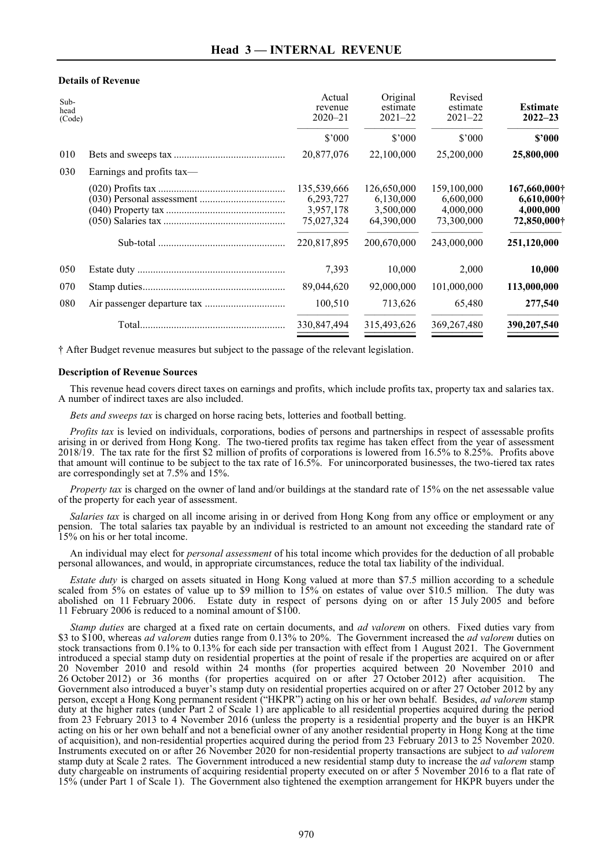## **Details of Revenue**

| Sub-<br>head<br>(Code) |                           | Actual<br>revenue<br>$2020 - 21$                                   | Original<br>estimate<br>$2021 - 22$                                | Revised<br>estimate<br>$2021 - 22$                                 | <b>Estimate</b><br>$2022 - 23$                                                |
|------------------------|---------------------------|--------------------------------------------------------------------|--------------------------------------------------------------------|--------------------------------------------------------------------|-------------------------------------------------------------------------------|
|                        |                           | \$'000                                                             | \$3000                                                             | \$3000                                                             | \$2000                                                                        |
| 010                    |                           | 20,877,076                                                         | 22,100,000                                                         | 25,200,000                                                         | 25,800,000                                                                    |
| 030                    | Earnings and profits tax— |                                                                    |                                                                    |                                                                    |                                                                               |
|                        |                           | 135,539,666<br>6,293,727<br>3,957,178<br>75,027,324<br>220,817,895 | 126,650,000<br>6,130,000<br>3,500,000<br>64,390,000<br>200,670,000 | 159,100,000<br>6,600,000<br>4,000,000<br>73,300,000<br>243,000,000 | 167,660,000†<br>$6,610,000\dagger$<br>4,000,000<br>72,850,000†<br>251,120,000 |
| 050                    |                           | 7,393                                                              | 10,000                                                             | 2,000                                                              | 10,000                                                                        |
| 070                    |                           | 89,044,620                                                         | 92,000,000                                                         | 101,000,000                                                        | 113,000,000                                                                   |
| 080                    |                           | 100,510                                                            | 713,626                                                            | 65,480                                                             | 277,540                                                                       |
|                        |                           | 330,847,494                                                        | 315,493,626                                                        | 369, 267, 480                                                      | 390,207,540                                                                   |

† After Budget revenue measures but subject to the passage of the relevant legislation.

## **Description of Revenue Sources**

This revenue head covers direct taxes on earnings and profits, which include profits tax, property tax and salaries tax. A number of indirect taxes are also included.

*Bets and sweeps tax* is charged on horse racing bets, lotteries and football betting.

*Profits tax* is levied on individuals, corporations, bodies of persons and partnerships in respect of assessable profits arising in or derived from Hong Kong. The two-tiered profits tax regime has taken effect from the year of assessment 2018/19. The tax rate for the first \$2 million of profits of corporations is lowered from 16.5% to 8.25%. Profits above that amount will continue to be subject to the tax rate of 16.5%. For unincorporated businesses, the two-tiered tax rates are correspondingly set at 7.5% and 15%.

*Property tax* is charged on the owner of land and/or buildings at the standard rate of 15% on the net assessable value of the property for each year of assessment.

*Salaries tax* is charged on all income arising in or derived from Hong Kong from any office or employment or any pension. The total salaries tax payable by an individual is restricted to an amount not exceeding the standard rate of 15% on his or her total income.

An individual may elect for *personal assessment* of his total income which provides for the deduction of all probable personal allowances, and would, in appropriate circumstances, reduce the total tax liability of the individual.

*Estate duty* is charged on assets situated in Hong Kong valued at more than \$7.5 million according to a schedule scaled from 5% on estates of value up to \$9 million to 15% on estates of value over \$10.5 million. The duty was abolished on 11 February 2006. Estate duty in respect of persons dying on or after 15 July 2005 and before 11 February 2006 is reduced to a nominal amount of \$100.

*Stamp duties* are charged at a fixed rate on certain documents, and *ad valorem* on others. Fixed duties vary from \$3 to \$100, whereas *ad valorem* duties range from 0.13% to 20%. The Government increased the *ad valorem* duties on stock transactions from 0.1% to 0.13% for each side per transaction with effect from 1 August 2021. The Government introduced a special stamp duty on residential properties at the point of resale if the properties are acquired on or after 20 November 2010 and resold within 24 months (for properties acquired between 20 November 2010 and 26 October 2012) or 36 months (for properties acquired on or after 27 October 2012) after acquisition. The 26 October 2012) or 36 months (for properties acquired on or after 27 October 2012) after acquisition. Government also introduced a buyer's stamp duty on residential properties acquired on or after 27 October 2012 by any person, except a Hong Kong permanent resident ("HKPR") acting on his or her own behalf. Besides, *ad valorem* stamp duty at the higher rates (under Part 2 of Scale 1) are applicable to all residential properties acquired during the period from 23 February 2013 to 4 November 2016 (unless the property is a residential property and the buyer is an HKPR acting on his or her own behalf and not a beneficial owner of any another residential property in Hong Kong at the time of acquisition), and non-residential properties acquired during the period from 23 February 2013 to 25 November 2020. Instruments executed on or after 26 November 2020 for non-residential property transactions are subject to *ad valorem* stamp duty at Scale 2 rates. The Government introduced a new residential stamp duty to increase the *ad valorem* stamp duty chargeable on instruments of acquiring residential property executed on or after 5 November 2016 to a flat rate of 15% (under Part 1 of Scale 1). The Government also tightened the exemption arrangement for HKPR buyers under the